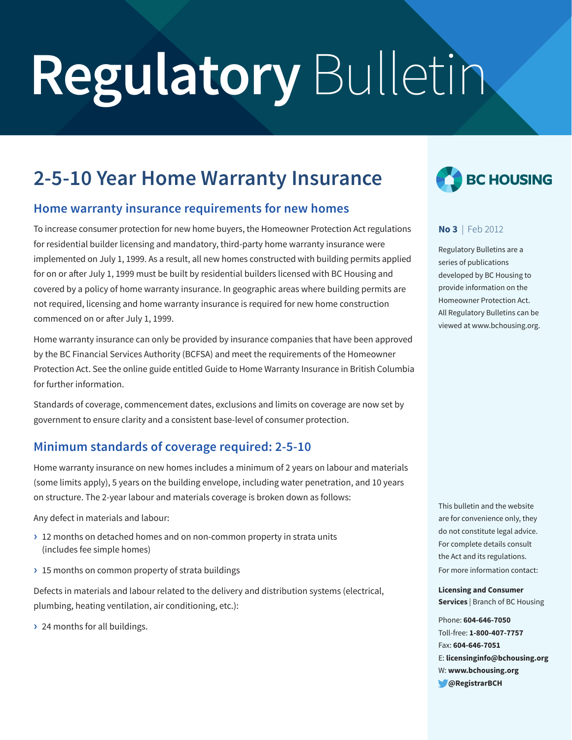# **Regulatory** Bulletin

# **2-5-10 Year Home Warranty Insurance**

# **Home warranty insurance requirements for new homes**

To increase consumer protection for new home buyers, the Homeowner Protection Act regulations for residential builder licensing and mandatory, third-party home warranty insurance were implemented on July 1, 1999. As a result, all new homes constructed with building permits applied for on or after July 1, 1999 must be built by residential builders licensed with BC Housing and covered by a policy of home warranty insurance. In geographic areas where building permits are not required, licensing and home warranty insurance is required for new home construction commenced on or after July 1, 1999.

Home warranty insurance can only be provided by insurance companies that have been approved by the BC Financial Services Authority (BCFSA) and meet the requirements of the Homeowner Protection Act. See the online guide entitled Guide to Home Warranty Insurance in British Columbia for further information.

Standards of coverage, commencement dates, exclusions and limits on coverage are now set by government to ensure clarity and a consistent base-level of consumer protection.

# **Minimum standards of coverage required: 2-5-10**

Home warranty insurance on new homes includes a minimum of 2 years on labour and materials (some limits apply), 5 years on the building envelope, including water penetration, and 10 years on structure. The 2-year labour and materials coverage is broken down as follows:

Any defect in materials and labour:

- **›** 12 months on detached homes and on non-common property in strata units (includes fee simple homes)
- **›** 15 months on common property of strata buildings

Defects in materials and labour related to the delivery and distribution systems (electrical, plumbing, heating ventilation, air conditioning, etc.):

**›** 24 months for all buildings.



#### **No 3** | Feb 2012

Regulatory Bulletins are a series of publications developed by BC Housing to provide information on the Homeowner Protection Act. All Regulatory Bulletins can be viewed at www.bchousing.org.

This bulletin and the website are for convenience only, they do not constitute legal advice. For complete details consult the Act and its regulations. For more information contact:

**Licensing and Consumer Services** | Branch of BC Housing

Phone: **604-646-7050** Toll-free: **1-800-407-7757** Fax: **604-646-7051** E: **licensinginfo@bchousing.org** W: **www.bchousing.org @RegistrarBCH**